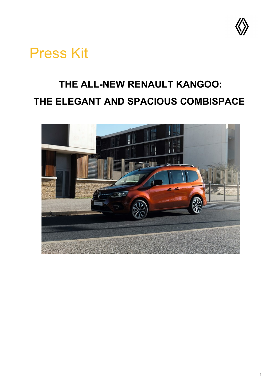

# Press Kit

## **THE ALL-NEW RENAULT KANGOO: THE ELEGANT AND SPACIOUS COMBISPACE**

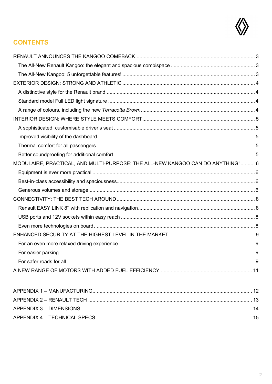

## **CONTENTS**

| MODULAIRE, PRACTICAL, AND MULTI-PURPOSE: THE ALL-NEW KANGOO CAN DO ANYTHING!  6 |  |
|---------------------------------------------------------------------------------|--|
|                                                                                 |  |
|                                                                                 |  |
|                                                                                 |  |
|                                                                                 |  |
|                                                                                 |  |
|                                                                                 |  |
|                                                                                 |  |
|                                                                                 |  |
|                                                                                 |  |
|                                                                                 |  |
|                                                                                 |  |
|                                                                                 |  |
|                                                                                 |  |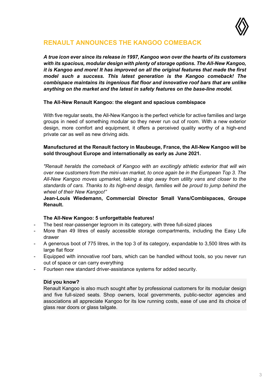

### <span id="page-2-0"></span>**RENAULT ANNOUNCES THE KANGOO COMEBACK**

*A true icon ever since its release in 1997, Kangoo won over the hearts of its customers with its spacious, modular design with plenty of storage options. The All-New Kangoo, it is Kangoo and more! It has improved on all the original features that made the first model such a success. This latest generation is the Kangoo comeback! The combispace maintains its ingenious flat floor and innovative roof bars that are unlike anything on the market and the latest in safety features on the base-line model.*

### <span id="page-2-1"></span>**The All-New Renault Kangoo: the elegant and spacious combispace**

With five regular seats, the All-New Kangoo is the perfect vehicle for active families and large groups in need of something modular so they never run out of room. With a new exterior design, more comfort and equipment, it offers a perceived quality worthy of a high-end private car as well as new driving aids.

### **Manufactured at the Renault factory in Maubeuge, France, the All-New Kangoo will be sold throughout Europe and internationally as early as June 2021.**

*"Renault heralds the comeback of Kangoo with an excitingly athletic exterior that will win over new customers from the mini-van market, to once again be in the European Top 3. The All-New Kangoo moves upmarket, taking a step away from utility vans and closer to the standards of cars. Thanks to its high-end design, families will be proud to jump behind the wheel of their New Kangoo!"*

**Jean-Louis Wiedemann, Commercial Director Small Vans/Combispaces, Groupe Renault.**

### **The All-New Kangoo: 5 unforgettable features!**

- <span id="page-2-2"></span>The best rear-passenger legroom in its category, with three full-sized places
- More than 49 litres of easily accessible storage compartments, including the Easy Life drawer
- A generous boot of 775 litres, in the top 3 of its category, expandable to 3,500 litres with its large flat floor
- Equipped with innovative roof bars, which can be handled without tools, so you never run out of space or can carry everything
- Fourteen new standard driver-assistance systems for added security.

#### **Did you know?**

Renault Kangoo is also much sought after by professional customers for its modular design and five full-sized seats. Shop owners, local governments, public-sector agencies and associations all appreciate Kangoo for its low running costs, ease of use and its choice of glass rear doors or glass tailgate.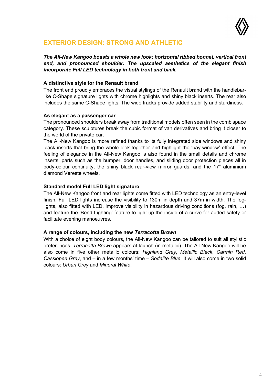

### <span id="page-3-0"></span>**EXTERIOR DESIGN: STRONG AND ATHLETIC**

*The All-New Kangoo boasts a whole new look: horizontal ribbed bonnet, vertical front end, and pronounced shoulder. The upscaled aesthetics of the elegant finish incorporate Full LED technology in both front and back.*

### <span id="page-3-1"></span>**A distinctive style for the Renault brand**

The front end proudly embraces the visual stylings of the Renault brand with the handlebarlike C-Shape signature lights with chrome highlights and shiny black inserts. The rear also includes the same C-Shape lights. The wide tracks provide added stability and sturdiness.

### **As elegant as a passenger car**

The pronounced shoulders break away from traditional models often seen in the combispace category. These sculptures break the cubic format of van derivatives and bring it closer to the world of the private car.

The All-New Kangoo is more refined thanks to its fully integrated side windows and shiny black inserts that bring the whole look together and highlight the 'bay-window' effect. The feeling of elegance in the All-New Kangoo is also found in the small details and chrome inserts: parts such as the bumper, door handles, and sliding door protection pieces all in body-colour continuity, the shiny black rear-view mirror guards, and the 17" aluminium diamond Vereste wheels.

### <span id="page-3-2"></span>**Standard model Full LED light signature**

The All-New Kangoo front and rear lights come fitted with LED technology as an entry-level finish. Full LED lights increase the visibility to 130m in depth and 37m in width. The foglights, also fitted with LED, improve visibility in hazardous driving conditions (fog, rain, …) and feature the 'Bend Lighting' feature to light up the inside of a curve for added safety or facilitate evening manoeuvres.

#### <span id="page-3-3"></span>**A range of colours, including the new** *Terracotta Brown*

With a choice of eight body colours, the All-New Kangoo can be tailored to suit all stylistic preferences. *Terracotta Brown* appears at launch (in metallic). The All-New Kangoo will be also come in five other metallic colours: *Highland Grey*, *Metallic Black*, *Carmin Red*, *Cassiopee Grey*, and – in a few months' time – *Sodalite Blue*. It will also come in two solid colours: *Urban Grey* and *Mineral White*.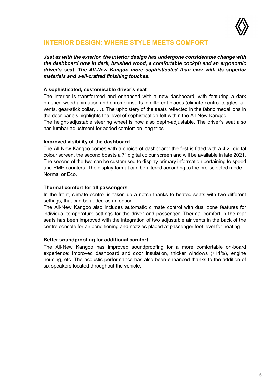

### <span id="page-4-0"></span>**INTERIOR DESIGN: WHERE STYLE MEETS COMFORT**

*Just as with the exterior, the interior design has undergone considerable change with the dashboard now in dark, brushed wood, a comfortable cockpit and an ergonomic driver's seat. The All-New Kangoo more sophisticated than ever with its superior materials and well-crafted finishing touches.*

### <span id="page-4-1"></span>**A sophisticated, customisable driver's seat**

The interior is transformed and enhanced with a new dashboard, with featuring a dark brushed wood animation and chrome inserts in different places (climate-control toggles, air vents, gear-stick collar, …). The upholstery of the seats reflected in the fabric medallions in the door panels highlights the level of sophistication felt within the All-New Kangoo. The height-adjustable steering wheel is now also depth-adjustable. The driver's seat also has lumbar adjustment for added comfort on long trips.

#### <span id="page-4-2"></span>**Improved visibility of the dashboard**

The All-New Kangoo comes with a choice of dashboard: the first is fitted with a 4.2" digital colour screen, the second boasts a 7" digital colour screen and will be available in late 2021. The second of the two can be customised to display primary information pertaining to speed and RMP counters. The display format can be altered according to the pre-selected mode – Normal or Eco.

### <span id="page-4-3"></span>**Thermal comfort for all passengers**

In the front, climate control is taken up a notch thanks to heated seats with two different settings, that can be added as an option.

The All-New Kangoo also includes automatic climate control with dual zone features for individual temperature settings for the driver and passenger. Thermal comfort in the rear seats has been improved with the integration of two adjustable air vents in the back of the centre console for air conditioning and nozzles placed at passenger foot level for heating.

#### <span id="page-4-4"></span>**Better soundproofing for additional comfort**

The All-New Kangoo has improved soundproofing for a more comfortable on-board experience: improved dashboard and door insulation, thicker windows (+11%), engine housing, etc. The acoustic performance has also been enhanced thanks to the addition of six speakers located throughout the vehicle.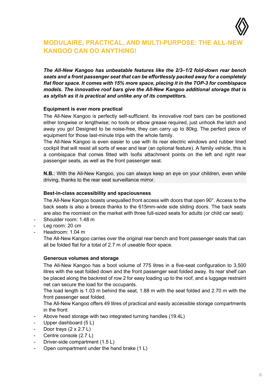

### <span id="page-5-0"></span>**MODULAIRE, PRACTICAL, AND MULTI-PURPOSE: THE ALL-NEW KANGOO CAN DO ANYTHING!**

*The All-New Kangoo has unbeatable features like the 2/3–1/2 fold-down rear bench seats and a front passenger seat that can be effortlessly packed away for a completely flat floor space. It comes with 15% more space, placing it in the TOP-3 for combispace models. The innovative roof bars give the All-New Kangoo additional storage that is as stylish as it is practical and unlike any of its competitors.*

### <span id="page-5-1"></span>**Equipment is ever more practical**

The All-New Kangoo is perfectly self-sufficient. Its innovative roof bars can be positioned either longwise or lengthwise; no tools or elbow grease required, just unhook the latch and away you go! Designed to be noise-free, they can carry up to 80kg. The perfect piece of equipment for those last-minute trips with the whole family.

The All-New Kangoo is even easier to use with its rear electric windows and rubber lined cockpit that will resist all sorts of wear and tear (an optional feature). A family vehicle, this is a combispace that comes fitted with Isofix attachment points on the left and right rear passenger seats, as well as the front passenger seat.

**N.B.**: With the All-New Kangoo, you can always keep an eye on your children, even while driving, thanks to the rear seat surveillance mirror.

#### <span id="page-5-2"></span>**Best-in-class accessibility and spaciousness**

The All-New Kangoo boasts unequalled front access with doors that open 90°. Access to the back seats is also a breeze thanks to the 615mm-wide side sliding doors. The back seats are also the roomiest on the market with three full-sized seats for adults (or child car seat):

- Shoulder room: 1.48 m
- Leg room: 20 cm
- Headroom: 1.04 m

The All-New Kangoo carries over the original rear bench and front passenger seats that can all be folded flat for a total of 2.7 m of useable floor space.

#### <span id="page-5-3"></span>**Generous volumes and storage**

The All-New Kangoo has a boot volume of 775 litres in a five-seat configuration to 3,500 litres with the seat folded down and the front passenger seat folded away. Its rear shelf can be placed along the backrest of row 2 for easy loading up to the roof, and a luggage restraint net can secure the load for the occupants.

The load length is 1.03 m behind the seat, 1.88 m with the seat folded and 2.70 m with the front passenger seat folded.

The All-New Kangoo offers 49 litres of practical and easily accessible storage compartments in the front:

- Above head storage with two integrated turning handles (19.4L)
- Upper dashboard (5 L)
- Door trays  $(2 \times 2.7 \text{ L})$
- Centre console (2.7 L)
- Driver-side compartment (1.5 L)
- Open compartment under the hand brake (1 L)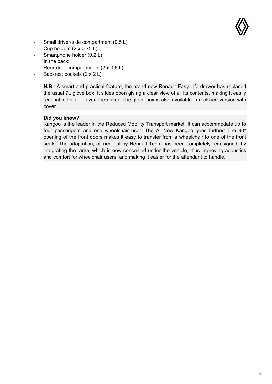

- Small driver-side compartment (0.5 L)
- Cup holders  $(2 \times 0.75 \text{ L})$
- Smartphone holder (0.2 L) In the back:
- Rear-door compartments  $(2 \times 0.6 L)$
- Backrest pockets (2 x 2 L).

**N.B.**: A smart and practical feature, the brand-new Renault Easy Life drawer has replaced the usual 7L glove box. It slides open giving a clear view of all its contents, making it easily reachable for all – even the driver. The glove box is also available in a closed version with cover.

### **Did you know?**

Kangoo is the leader in the Reduced Mobility Transport market. It can accommodate up to four passengers and one wheelchair user. The All-New Kangoo goes further! The 90° opening of the front doors makes it easy to transfer from a wheelchair to one of the front seats. The adaptation, carried out by Renault Tech, has been completely redesigned, by integrating the ramp, which is now concealed under the vehicle, thus improving acoustics and comfort for wheelchair users, and making it easier for the attendant to handle.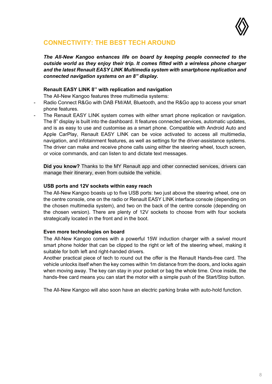

### <span id="page-7-0"></span>**CONNECTIVITY: THE BEST TECH AROUND**

*The All-New Kangoo enhances life on board by keeping people connected to the outside world as they enjoy their trip. It comes fitted with a wireless phone charger and the latest Renault EASY LINK Multimedia system with smartphone replication and connected navigation systems on an 8" display.*

### **Renault EASY LINK 8'' with replication and navigation**

The All-New Kangoo features three multimedia systems:

- <span id="page-7-1"></span>Radio Connect R&Go with DAB FM/AM, Bluetooth, and the R&Go app to access your smart phone features.
- The Renault EASY LINK system comes with either smart phone replication or navigation. The 8" display is built into the dashboard. It features connected services, automatic updates, and is as easy to use and customise as a smart phone. Compatible with Android Auto and Apple CarPlay, Renault EASY LINK can be voice activated to access all multimedia, navigation, and infotainment features, as well as settings for the driver-assistance systems. The driver can make and receive phone calls using either the steering wheel, touch screen, or voice commands, and can listen to and dictate text messages.

**Did you know?** Thanks to the MY Renault app and other connected services, drivers can manage their itinerary, even from outside the vehicle.

#### <span id="page-7-2"></span>**USB ports and 12V sockets within easy reach**

The All-New Kangoo boasts up to five USB ports: two just above the steering wheel, one on the centre console, one on the radio or Renault EASY LINK interface console (depending on the chosen multimedia system), and two on the back of the centre console (depending on the chosen version). There are plenty of 12V sockets to choose from with four sockets strategically located in the front and in the boot.

#### <span id="page-7-3"></span>**Even more technologies on board**

The All-New Kangoo comes with a powerful 15W induction charger with a swivel mount smart phone holder that can be clipped to the right or left of the steering wheel, making it suitable for both left and right-handed drivers.

Another practical piece of tech to round out the offer is the Renault Hands-free card. The vehicle unlocks itself when the key comes within 1m distance from the doors, and locks again when moving away. The key can stay in your pocket or bag the whole time. Once inside, the hands-free card means you can start the motor with a simple push of the Start/Stop button.

The All-New Kangoo will also soon have an electric parking brake with auto-hold function.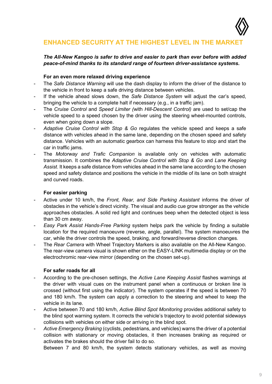

### <span id="page-8-0"></span>**ENHANCED SECURITY AT THE HIGHEST LEVEL IN THE MARKE**

### *The All-New Kangoo is safer to drive and easier to park than ever before with added peace-of-mind thanks to its standard range of fourteen driver-assistance systems.*

#### **For an even more relaxed driving experience**

- <span id="page-8-1"></span>- The *Safe Distance Warning* will use the dash display to inform the driver of the distance to the vehicle in front to keep a safe driving distance between vehicles.
- If the vehicle ahead slows down, the *Safe Distance System* will adjust the car's speed, bringing the vehicle to a complete halt if necessary (e.g., in a traffic jam).
- The *Cruise Control* and *Speed Limiter (*with *Hill-Descent Control)* are used to set/cap the vehicle speed to a speed chosen by the driver using the steering wheel-mounted controls, even when going down a slope.
- *Adaptive Cruise Control with Stop & Go* regulates the vehicle speed and keeps a safe distance with vehicles ahead in the same lane, depending on the chosen speed and safety distance. Vehicles with an automatic gearbox can harness this feature to stop and start the car in traffic jams.
- The *Motorway and Trafic Companion* is available only on vehicles with automatic transmission. It combines the *Adaptive Cruise Control with Stop & Go* and *Lane Keeping Assist*. It keeps a safe distance from vehicles ahead in the same lane according to the chosen speed and safety distance and positions the vehicle in the middle of its lane on both straight and curved roads.

#### **For easier parking**

- <span id="page-8-2"></span>- Active under 10 km/h, the *Front, Rear, and Side Parking Assistant* informs the driver of obstacles in the vehicle's direct vicinity. The visual and audio cue grow stronger as the vehicle approaches obstacles. A solid red light and continues beep when the detected object is less than 30 cm away.
- *Easy Park Assist Hands-Free Parking* system helps park the vehicle by finding a suitable location for the required manoeuvre (reverse, angle, parallel). The system manoeuvres the car, while the driver controls the speed, braking, and forward/reverse direction changes.
- The *Rear Camera* with Wheel Trajectory Markers is also available on the All-New Kangoo. The rear-view camera visual is shown either on the EASY-LINK multimedia display or on the electrochromic rear-view mirror (depending on the chosen set-up).

### **For safer roads for all**

- <span id="page-8-3"></span>- According to the pre-chosen settings, the *Active Lane Keeping Assist* flashes warnings at the driver with visual cues on the instrument panel when a continuous or broken line is crossed (without first using the indicator). The system operates if the speed is between 70 and 180 km/h. The system can apply a correction to the steering and wheel to keep the vehicle in its lane.
- Active between 70 and 180 km/h, *Active Blind Spot Monitoring* provides additional safety to the blind spot warning system. It corrects the vehicle's trajectory to avoid potential sideways collisions with vehicles on either side or arriving in the blind spot.
- *Active Emergency Braking* (cyclists, pedestrians, and vehicles) warns the driver of a potential collision with stationary or moving obstacles, it then increases braking as required or activates the brakes should the driver fail to do so.

Between 7 and 80 km/h, the system detects stationary vehicles, as well as moving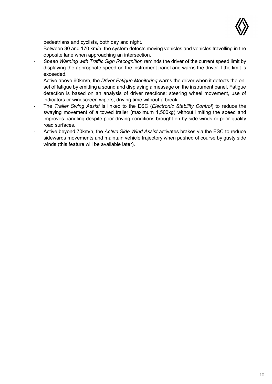

pedestrians and cyclists, both day and night.

- Between 30 and 170 km/h, the system detects moving vehicles and vehicles travelling in the opposite lane when approaching an intersection.
- *Speed Warning with Traffic Sign Recognition* reminds the driver of the current speed limit by displaying the appropriate speed on the instrument panel and warns the driver if the limit is exceeded.
- Active above 60km/h, the *Driver Fatigue Monitoring* warns the driver when it detects the onset of fatigue by emitting a sound and displaying a message on the instrument panel. Fatigue detection is based on an analysis of driver reactions: steering wheel movement, use of indicators or windscreen wipers, driving time without a break.
- The *Trailer Swing Assist* is linked to the ESC (*Electronic Stability Control*) to reduce the swaying movement of a towed trailer (maximum 1,500kg) without limiting the speed and improves handling despite poor driving conditions brought on by side winds or poor-quality road surfaces.
- Active beyond 70km/h, the *Active Side Wind Assist* activates brakes via the ESC to reduce sidewards movements and maintain vehicle trajectory when pushed of course by gusty side winds (this feature will be available later).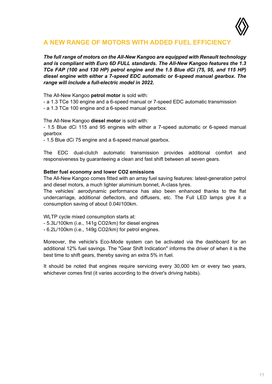

### <span id="page-10-0"></span>**A NEW RANGE OF MOTORS WITH ADDED FUEL EFFICIENCY**

*The full range of motors on the All-New Kangoo are equipped with Renault technology and is compliant with Euro 6D FULL standards. The All-New Kangoo features the 1.3 TCe FAP (100 and 130 HP) petrol engine and the 1.5 Blue dCi (75, 95, and 115 HP) diesel engine with either a 7-speed EDC automatic or 6-speed manual gearbox. The range will include a full-electric model in 2022.*

The All-New Kangoo **petrol motor** is sold with:

- a 1.3 TCe 130 engine and a 6-speed manual or 7-speed EDC automatic transmission
- a 1.3 TCe 100 engine and a 6-speed manual gearbox.

The All-New Kangoo **diesel motor** is sold with:

- 1.5 Blue dCi 115 and 95 engines with either a 7-speed automatic or 6-speed manual gearbox

- 1.5 Blue dCi 75 engine and a 6-speed manual gearbox.

The EDC dual-clutch automatic transmission provides additional comfort and responsiveness by guaranteeing a clean and fast shift between all seven gears.

#### **Better fuel economy and lower CO2 emissions**

The All-New Kangoo comes fitted with an array fuel saving features: latest-generation petrol and diesel motors, a much lighter aluminium bonnet, A-class tyres.

The vehicles' aerodynamic performance has also been enhanced thanks to the flat undercarriage, additional deflectors, and diffusers, etc. The Full LED lamps give it a consumption saving of about 0.04l/100km.

WLTP cycle mixed consumption starts at:

- 5.3L/100km (i.e., 141g CO2/km) for diesel engines
- 6.2L/100km (i.e., 149g CO2/km) for petrol engines.

Moreover, the vehicle's Eco-Mode system can be activated via the dashboard for an additional 12% fuel savings. The "Gear Shift Indication" informs the driver of when it is the best time to shift gears, thereby saving an extra 5% in fuel.

It should be noted that engines require servicing every 30,000 km or every two years, whichever comes first (it varies according to the driver's driving habits).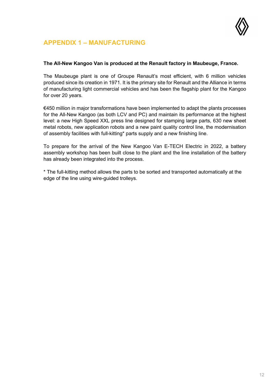

### <span id="page-11-0"></span>**APPENDIX 1 – MANUFACTURING**

#### **The All-New Kangoo Van is produced at the Renault factory in Maubeuge, France.**

The Maubeuge plant is one of Groupe Renault's most efficient, with 6 million vehicles produced since its creation in 1971. It is the primary site for Renault and the Alliance in terms of manufacturing light commercial vehicles and has been the flagship plant for the Kangoo for over 20 years.

€450 million in major transformations have been implemented to adapt the plants processes for the All-New Kangoo (as both LCV and PC) and maintain its performance at the highest level: a new High Speed XXL press line designed for stamping large parts, 630 new sheet metal robots, new application robots and a new paint quality control line, the modernisation of assembly facilities with full-kitting\* parts supply and a new finishing line.

To prepare for the arrival of the New Kangoo Van E-TECH Electric in 2022, a battery assembly workshop has been built close to the plant and the line installation of the battery has already been integrated into the process.

\* The full-kitting method allows the parts to be sorted and transported automatically at the edge of the line using wire-guided trolleys.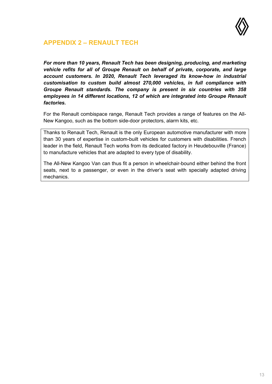

### <span id="page-12-0"></span>**APPENDIX 2 – RENAULT TECH**

*For more than 10 years, Renault Tech has been designing, producing, and marketing vehicle refits for all of Groupe Renault on behalf of private, corporate, and large account customers. In 2020, Renault Tech leveraged its know-how in industrial customisation to custom build almost 270,000 vehicles, in full compliance with Groupe Renault standards. The company is present in six countries with 358 employees in 14 different locations, 12 of which are integrated into Groupe Renault factories.*

For the Renault combispace range, Renault Tech provides a range of features on the All-New Kangoo, such as the bottom side-door protectors, alarm kits, etc.

Thanks to Renault Tech, Renault is the only European automotive manufacturer with more than 30 years of expertise in custom-built vehicles for customers with disabilities. French leader in the field, Renault Tech works from its dedicated factory in Heudebouville (France) to manufacture vehicles that are adapted to every type of disability.

The All-New Kangoo Van can thus fit a person in wheelchair-bound either behind the front seats, next to a passenger, or even in the driver's seat with specially adapted driving mechanics.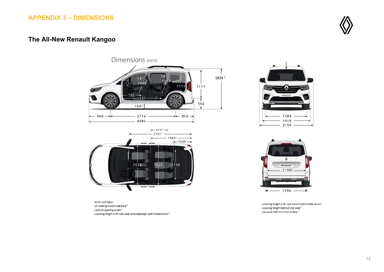### **APPENDIX 3 – DIMENSIONS**

### **The All-New Renault Kangoo**

Dimensions (mm) 1838 1  $14°$  $1064$ 1060 1111 111 53 785–  $-1727$ 594  $164^3$  $-2716 -960 - \leftarrow$  810  $\rightarrow$ 4486 -

<span id="page-13-0"></span>





With roof bars  $^1$ Unladenground clearance<sup>3</sup> Lateral opening width<sup>4</sup> Loading length with rear seat and passenger seat folded down<sup>5</sup>

Loading length with rear bench seat folded down<sup>5</sup> Loading length behind rear seat<sup>6</sup> Value at 100 mm from sillbar<sup>7</sup>